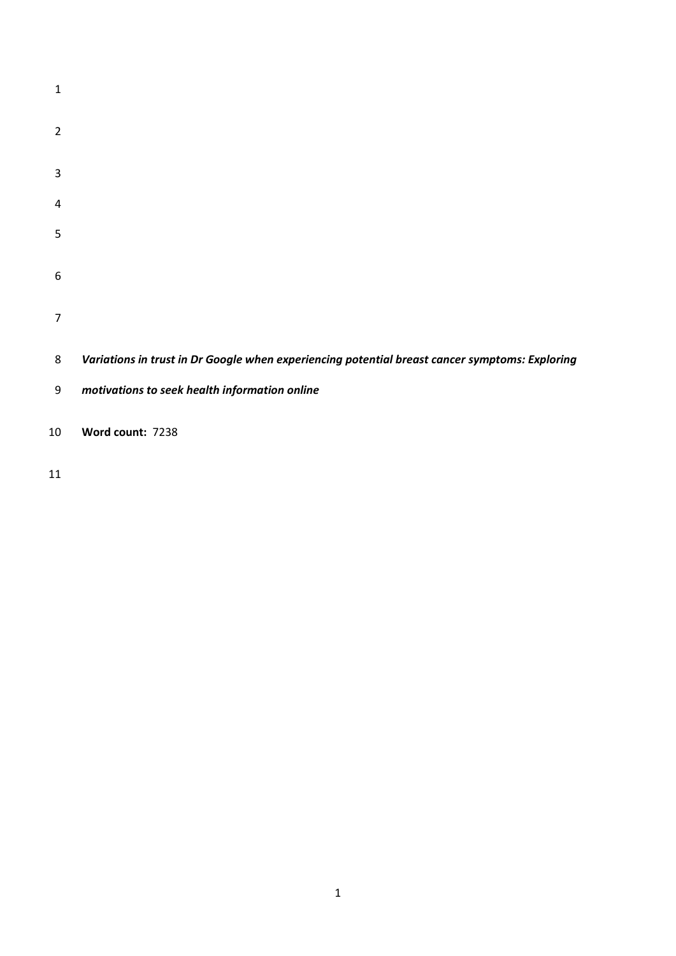| 6              |                                                                                                |
|----------------|------------------------------------------------------------------------------------------------|
| $\overline{7}$ |                                                                                                |
|                |                                                                                                |
|                |                                                                                                |
|                |                                                                                                |
|                |                                                                                                |
| 8              | Variations in trust in Dr Google when experiencing potential breast cancer symptoms: Exploring |
|                |                                                                                                |
| 9              | motivations to seek health information online                                                  |
|                |                                                                                                |
|                |                                                                                                |
|                |                                                                                                |
| 10             | Word count: 7238                                                                               |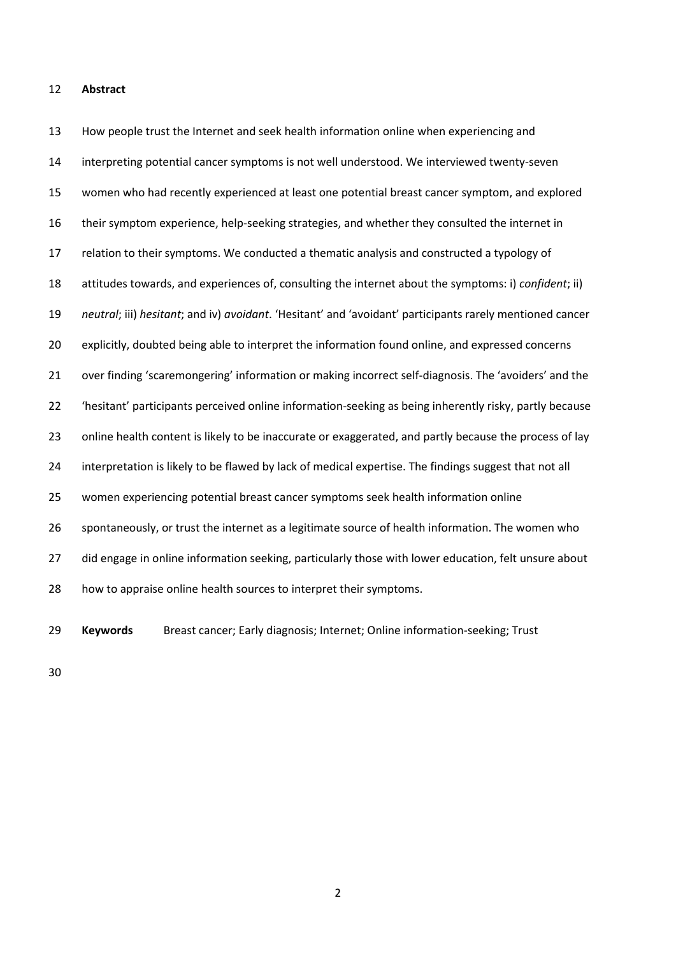#### **Abstract**

 How people trust the Internet and seek health information online when experiencing and interpreting potential cancer symptoms is not well understood. We interviewed twenty-seven women who had recently experienced at least one potential breast cancer symptom, and explored their symptom experience, help-seeking strategies, and whether they consulted the internet in 17 relation to their symptoms. We conducted a thematic analysis and constructed a typology of attitudes towards, and experiences of, consulting the internet about the symptoms: i) *confident*; ii) *neutral*; iii) *hesitant*; and iv) *avoidant*. 'Hesitant' and 'avoidant' participants rarely mentioned cancer explicitly, doubted being able to interpret the information found online, and expressed concerns over finding 'scaremongering' information or making incorrect self-diagnosis. The 'avoiders' and the 'hesitant' participants perceived online information-seeking as being inherently risky, partly because 23 online health content is likely to be inaccurate or exaggerated, and partly because the process of lay interpretation is likely to be flawed by lack of medical expertise. The findings suggest that not all women experiencing potential breast cancer symptoms seek health information online spontaneously, or trust the internet as a legitimate source of health information. The women who did engage in online information seeking, particularly those with lower education, felt unsure about how to appraise online health sources to interpret their symptoms.

**Keywords** Breast cancer; Early diagnosis; Internet; Online information-seeking; Trust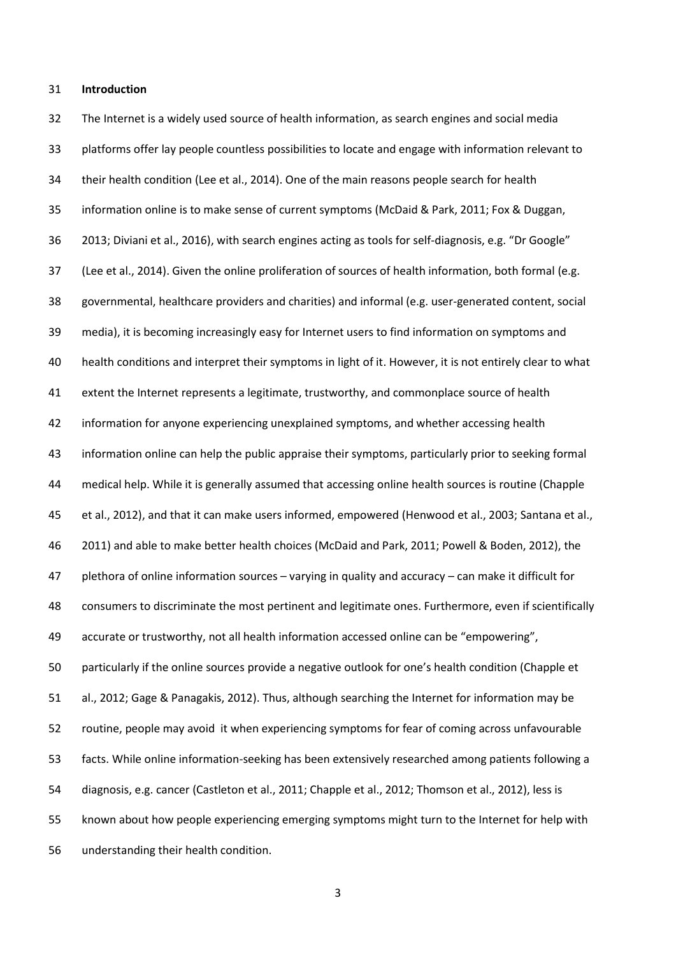#### **Introduction**

 The Internet is a widely used source of health information, as search engines and social media platforms offer lay people countless possibilities to locate and engage with information relevant to their health condition (Lee et al., 2014). One of the main reasons people search for health information online is to make sense of current symptoms (McDaid & Park, 2011; Fox & Duggan, 2013; Diviani et al., 2016), with search engines acting as tools for self-diagnosis, e.g. "Dr Google" (Lee et al., 2014). Given the online proliferation of sources of health information, both formal (e.g. governmental, healthcare providers and charities) and informal (e.g. user-generated content, social media), it is becoming increasingly easy for Internet users to find information on symptoms and health conditions and interpret their symptoms in light of it. However, it is not entirely clear to what extent the Internet represents a legitimate, trustworthy, and commonplace source of health information for anyone experiencing unexplained symptoms, and whether accessing health information online can help the public appraise their symptoms, particularly prior to seeking formal medical help. While it is generally assumed that accessing online health sources is routine (Chapple et al., 2012), and that it can make users informed, empowered (Henwood et al., 2003; Santana et al., 2011) and able to make better health choices (McDaid and Park, 2011; Powell & Boden, 2012), the plethora of online information sources – varying in quality and accuracy – can make it difficult for consumers to discriminate the most pertinent and legitimate ones. Furthermore, even if scientifically accurate or trustworthy, not all health information accessed online can be "empowering", particularly if the online sources provide a negative outlook for one's health condition (Chapple et al., 2012; Gage & Panagakis, 2012). Thus, although searching the Internet for information may be routine, people may avoid it when experiencing symptoms for fear of coming across unfavourable facts. While online information-seeking has been extensively researched among patients following a diagnosis, e.g. cancer (Castleton et al., 2011; Chapple et al., 2012; Thomson et al., 2012), less is known about how people experiencing emerging symptoms might turn to the Internet for help with understanding their health condition.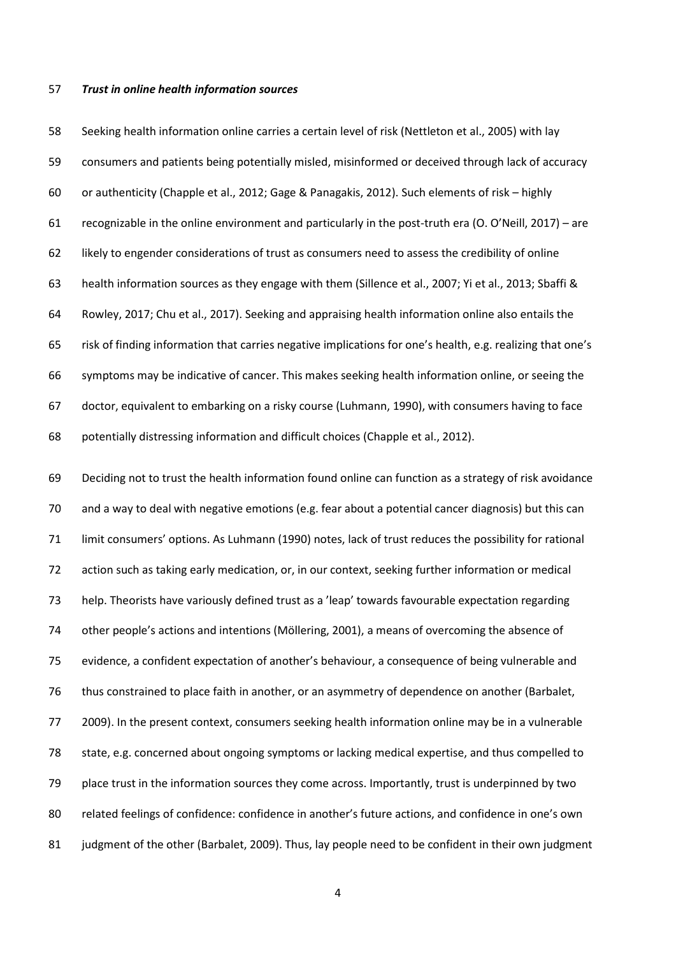#### *Trust in online health information sources*

 Seeking health information online carries a certain level of risk (Nettleton et al., 2005) with lay consumers and patients being potentially misled, misinformed or deceived through lack of accuracy or authenticity (Chapple et al., 2012; Gage & Panagakis, 2012). Such elements of risk – highly recognizable in the online environment and particularly in the post-truth era (O. O'Neill, 2017) – are likely to engender considerations of trust as consumers need to assess the credibility of online health information sources as they engage with them (Sillence et al., 2007; Yi et al., 2013; Sbaffi & Rowley, 2017; Chu et al., 2017). Seeking and appraising health information online also entails the risk of finding information that carries negative implications for one's health, e.g. realizing that one's symptoms may be indicative of cancer. This makes seeking health information online, or seeing the doctor, equivalent to embarking on a risky course (Luhmann, 1990), with consumers having to face potentially distressing information and difficult choices (Chapple et al., 2012).

 Deciding not to trust the health information found online can function as a strategy of risk avoidance and a way to deal with negative emotions (e.g. fear about a potential cancer diagnosis) but this can limit consumers' options. As Luhmann (1990) notes, lack of trust reduces the possibility for rational action such as taking early medication, or, in our context, seeking further information or medical help. Theorists have variously defined trust as a 'leap' towards favourable expectation regarding other people's actions and intentions (Möllering, 2001), a means of overcoming the absence of evidence, a confident expectation of another's behaviour, a consequence of being vulnerable and thus constrained to place faith in another, or an asymmetry of dependence on another (Barbalet, 2009). In the present context, consumers seeking health information online may be in a vulnerable state, e.g. concerned about ongoing symptoms or lacking medical expertise, and thus compelled to place trust in the information sources they come across. Importantly, trust is underpinned by two related feelings of confidence: confidence in another's future actions, and confidence in one's own judgment of the other (Barbalet, 2009). Thus, lay people need to be confident in their own judgment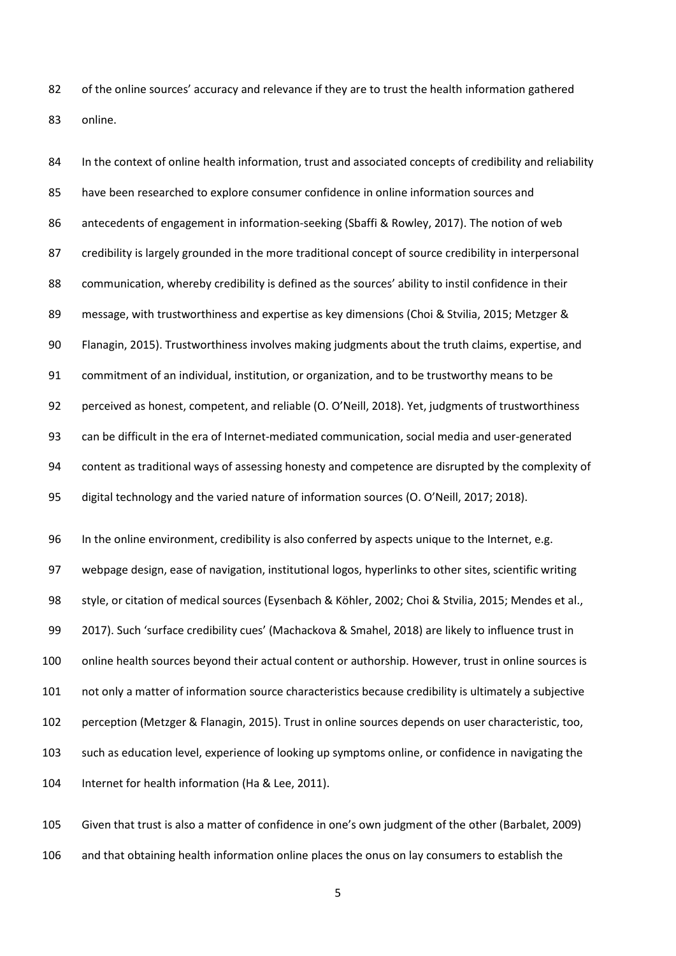of the online sources' accuracy and relevance if they are to trust the health information gathered online.

84 In the context of online health information, trust and associated concepts of credibility and reliability have been researched to explore consumer confidence in online information sources and antecedents of engagement in information-seeking (Sbaffi & Rowley, 2017). The notion of web 87 credibility is largely grounded in the more traditional concept of source credibility in interpersonal communication, whereby credibility is defined as the sources' ability to instil confidence in their message, with trustworthiness and expertise as key dimensions (Choi & Stvilia, 2015; Metzger & Flanagin, 2015). Trustworthiness involves making judgments about the truth claims, expertise, and commitment of an individual, institution, or organization, and to be trustworthy means to be perceived as honest, competent, and reliable (O. O'Neill, 2018). Yet, judgments of trustworthiness can be difficult in the era of Internet-mediated communication, social media and user-generated content as traditional ways of assessing honesty and competence are disrupted by the complexity of digital technology and the varied nature of information sources (O. O'Neill, 2017; 2018).

 In the online environment, credibility is also conferred by aspects unique to the Internet, e.g. webpage design, ease of navigation, institutional logos, hyperlinks to other sites, scientific writing style, or citation of medical sources (Eysenbach & Köhler, 2002; Choi & Stvilia, 2015; Mendes et al., 2017). Such 'surface credibility cues' (Machackova & Smahel, 2018) are likely to influence trust in online health sources beyond their actual content or authorship. However, trust in online sources is not only a matter of information source characteristics because credibility is ultimately a subjective perception (Metzger & Flanagin, 2015). Trust in online sources depends on user characteristic, too, such as education level, experience of looking up symptoms online, or confidence in navigating the Internet for health information (Ha & Lee, 2011).

 Given that trust is also a matter of confidence in one's own judgment of the other (Barbalet, 2009) and that obtaining health information online places the onus on lay consumers to establish the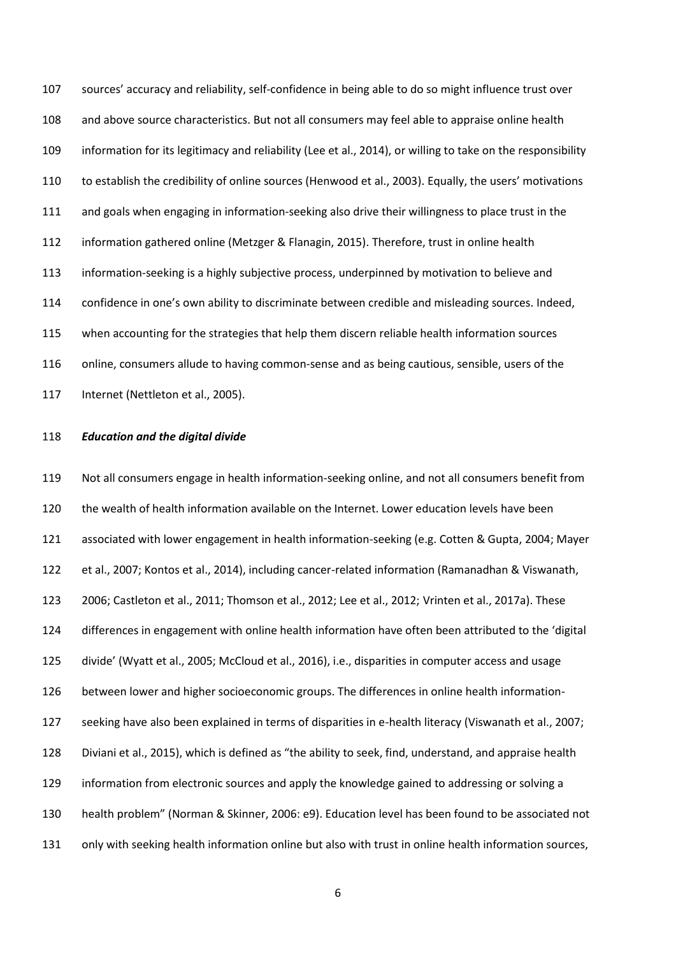sources' accuracy and reliability, self-confidence in being able to do so might influence trust over and above source characteristics. But not all consumers may feel able to appraise online health information for its legitimacy and reliability (Lee et al., 2014), or willing to take on the responsibility to establish the credibility of online sources (Henwood et al., 2003). Equally, the users' motivations and goals when engaging in information-seeking also drive their willingness to place trust in the information gathered online (Metzger & Flanagin, 2015). Therefore, trust in online health information-seeking is a highly subjective process, underpinned by motivation to believe and confidence in one's own ability to discriminate between credible and misleading sources. Indeed, when accounting for the strategies that help them discern reliable health information sources online, consumers allude to having common-sense and as being cautious, sensible, users of the Internet (Nettleton et al., 2005).

#### *Education and the digital divide*

 Not all consumers engage in health information-seeking online, and not all consumers benefit from the wealth of health information available on the Internet. Lower education levels have been associated with lower engagement in health information-seeking (e.g. Cotten & Gupta, 2004; Mayer et al., 2007; Kontos et al., 2014), including cancer-related information (Ramanadhan & Viswanath, 2006; Castleton et al., 2011; Thomson et al., 2012; Lee et al., 2012; Vrinten et al., 2017a). These differences in engagement with online health information have often been attributed to the 'digital divide' (Wyatt et al., 2005; McCloud et al., 2016), i.e., disparities in computer access and usage between lower and higher socioeconomic groups. The differences in online health information- seeking have also been explained in terms of disparities in e-health literacy (Viswanath et al., 2007; Diviani et al., 2015), which is defined as "the ability to seek, find, understand, and appraise health information from electronic sources and apply the knowledge gained to addressing or solving a health problem" (Norman & Skinner, 2006: e9). Education level has been found to be associated not only with seeking health information online but also with trust in online health information sources,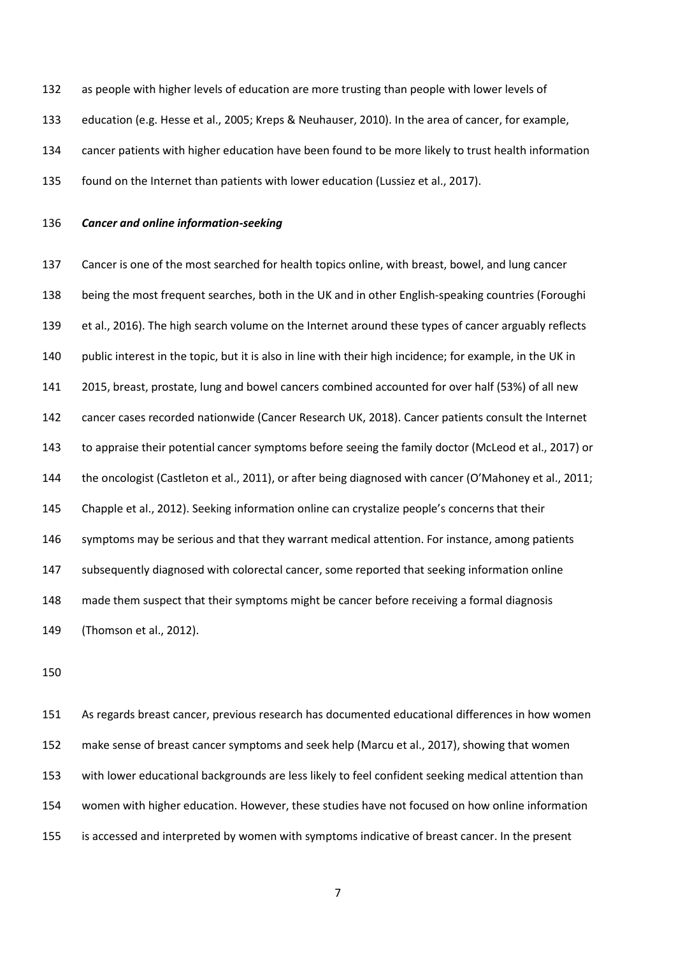as people with higher levels of education are more trusting than people with lower levels of

education (e.g. Hesse et al., 2005; Kreps & Neuhauser, 2010). In the area of cancer, for example,

cancer patients with higher education have been found to be more likely to trust health information

found on the Internet than patients with lower education (Lussiez et al., 2017).

## *Cancer and online information-seeking*

 Cancer is one of the most searched for health topics online, with breast, bowel, and lung cancer being the most frequent searches, both in the UK and in other English-speaking countries (Foroughi et al., 2016). The high search volume on the Internet around these types of cancer arguably reflects public interest in the topic, but it is also in line with their high incidence; for example, in the UK in 2015, breast, prostate, lung and bowel cancers combined accounted for over half (53%) of all new cancer cases recorded nationwide (Cancer Research UK, 2018). Cancer patients consult the Internet to appraise their potential cancer symptoms before seeing the family doctor (McLeod et al., 2017) or the oncologist (Castleton et al., 2011), or after being diagnosed with cancer (O'Mahoney et al., 2011; Chapple et al., 2012). Seeking information online can crystalize people's concerns that their 146 symptoms may be serious and that they warrant medical attention. For instance, among patients subsequently diagnosed with colorectal cancer, some reported that seeking information online made them suspect that their symptoms might be cancer before receiving a formal diagnosis (Thomson et al., 2012).

 As regards breast cancer, previous research has documented educational differences in how women make sense of breast cancer symptoms and seek help (Marcu et al., 2017), showing that women with lower educational backgrounds are less likely to feel confident seeking medical attention than women with higher education. However, these studies have not focused on how online information is accessed and interpreted by women with symptoms indicative of breast cancer. In the present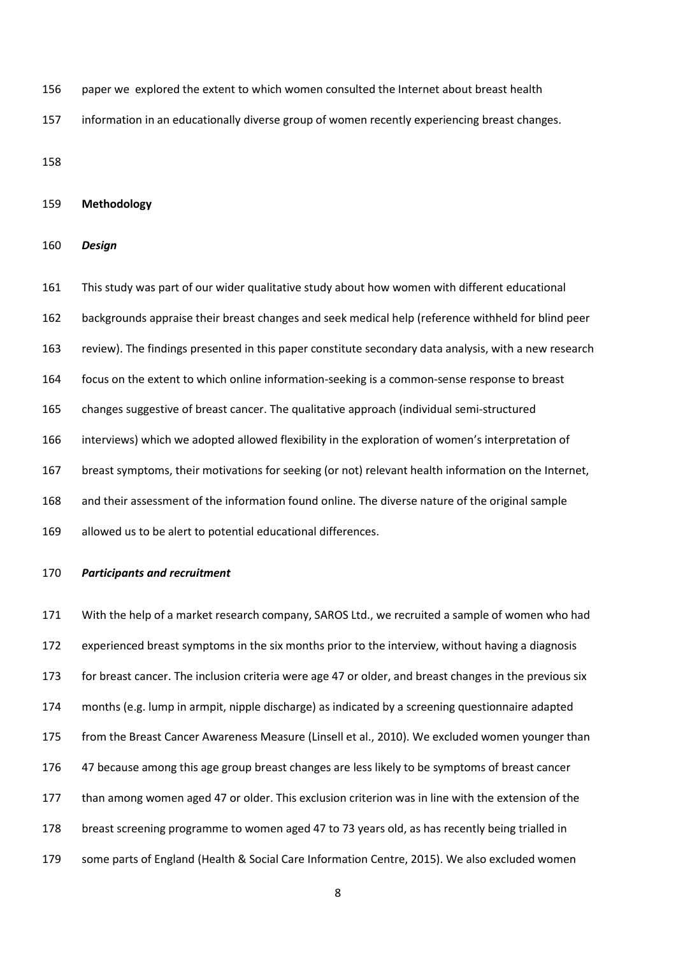- paper we explored the extent to which women consulted the Internet about breast health
- information in an educationally diverse group of women recently experiencing breast changes.

#### **Methodology**

*Design*

 This study was part of our wider qualitative study about how women with different educational backgrounds appraise their breast changes and seek medical help (reference withheld for blind peer review). The findings presented in this paper constitute secondary data analysis, with a new research focus on the extent to which online information-seeking is a common-sense response to breast changes suggestive of breast cancer. The qualitative approach (individual semi-structured interviews) which we adopted allowed flexibility in the exploration of women's interpretation of breast symptoms, their motivations for seeking (or not) relevant health information on the Internet, and their assessment of the information found online. The diverse nature of the original sample allowed us to be alert to potential educational differences.

#### *Participants and recruitment*

 With the help of a market research company, SAROS Ltd., we recruited a sample of women who had experienced breast symptoms in the six months prior to the interview, without having a diagnosis 173 for breast cancer. The inclusion criteria were age 47 or older, and breast changes in the previous six months (e.g. lump in armpit, nipple discharge) as indicated by a screening questionnaire adapted 175 from the Breast Cancer Awareness Measure (Linsell et al., 2010). We excluded women younger than 47 because among this age group breast changes are less likely to be symptoms of breast cancer than among women aged 47 or older. This exclusion criterion was in line with the extension of the breast screening programme to women aged 47 to 73 years old, as has recently being trialled in some parts of England (Health & Social Care Information Centre, 2015). We also excluded women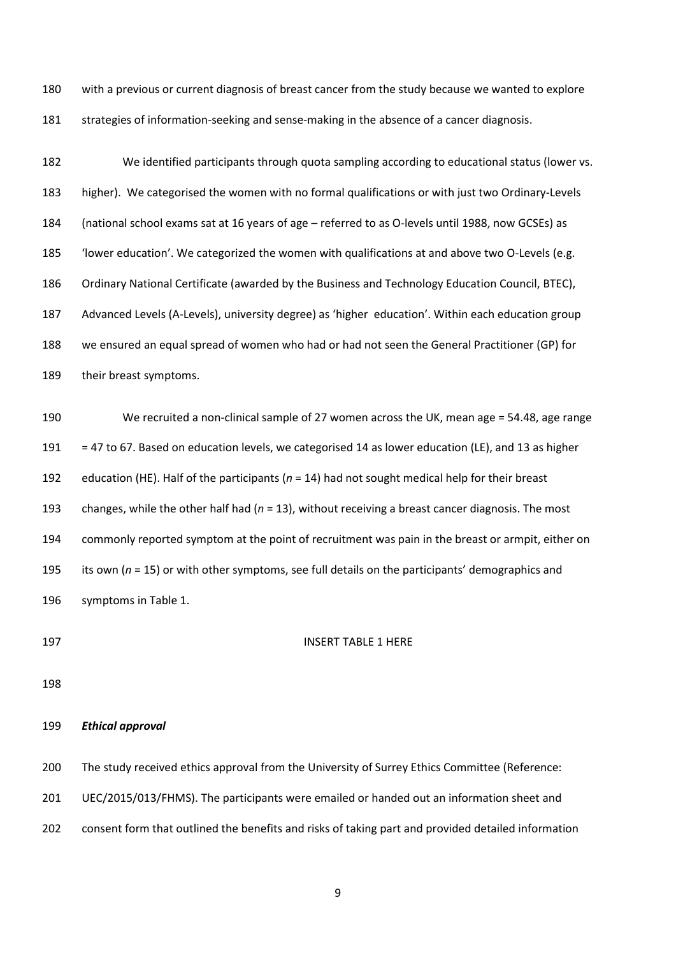with a previous or current diagnosis of breast cancer from the study because we wanted to explore strategies of information-seeking and sense-making in the absence of a cancer diagnosis.

 We identified participants through quota sampling according to educational status (lower vs. higher). We categorised the women with no formal qualifications or with just two Ordinary-Levels (national school exams sat at 16 years of age – referred to as O-levels until 1988, now GCSEs) as 'lower education'. We categorized the women with qualifications at and above two O-Levels (e.g. Ordinary National Certificate (awarded by the Business and Technology Education Council, BTEC), Advanced Levels (A-Levels), university degree) as 'higher education'. Within each education group we ensured an equal spread of women who had or had not seen the General Practitioner (GP) for their breast symptoms.

 We recruited a non-clinical sample of 27 women across the UK, mean age = 54.48, age range = 47 to 67. Based on education levels, we categorised 14 as lower education (LE), and 13 as higher education (HE). Half of the participants (*n* = 14) had not sought medical help for their breast changes, while the other half had (*n* = 13), without receiving a breast cancer diagnosis. The most commonly reported symptom at the point of recruitment was pain in the breast or armpit, either on its own (*n* = 15) or with other symptoms, see full details on the participants' demographics and symptoms in Table 1.

#### INSERT TABLE 1 HERE

#### *Ethical approval*

 The study received ethics approval from the University of Surrey Ethics Committee (Reference: UEC/2015/013/FHMS). The participants were emailed or handed out an information sheet and consent form that outlined the benefits and risks of taking part and provided detailed information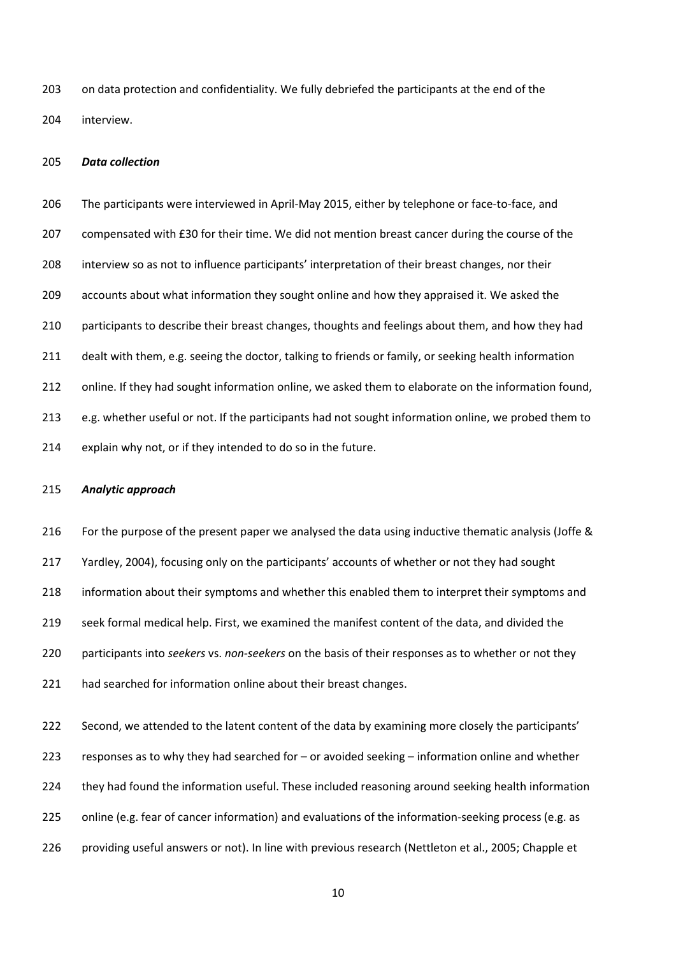on data protection and confidentiality. We fully debriefed the participants at the end of the interview.

#### *Data collection*

 The participants were interviewed in April-May 2015, either by telephone or face-to-face, and compensated with £30 for their time. We did not mention breast cancer during the course of the interview so as not to influence participants' interpretation of their breast changes, nor their accounts about what information they sought online and how they appraised it. We asked the participants to describe their breast changes, thoughts and feelings about them, and how they had dealt with them, e.g. seeing the doctor, talking to friends or family, or seeking health information online. If they had sought information online, we asked them to elaborate on the information found, e.g. whether useful or not. If the participants had not sought information online, we probed them to explain why not, or if they intended to do so in the future.

#### *Analytic approach*

 For the purpose of the present paper we analysed the data using inductive thematic analysis (Joffe & Yardley, 2004), focusing only on the participants' accounts of whether or not they had sought information about their symptoms and whether this enabled them to interpret their symptoms and seek formal medical help. First, we examined the manifest content of the data, and divided the participants into *seekers* vs. *non-seekers* on the basis of their responses as to whether or not they had searched for information online about their breast changes.

222 Second, we attended to the latent content of the data by examining more closely the participants' responses as to why they had searched for – or avoided seeking – information online and whether they had found the information useful. These included reasoning around seeking health information online (e.g. fear of cancer information) and evaluations of the information-seeking process (e.g. as providing useful answers or not). In line with previous research (Nettleton et al., 2005; Chapple et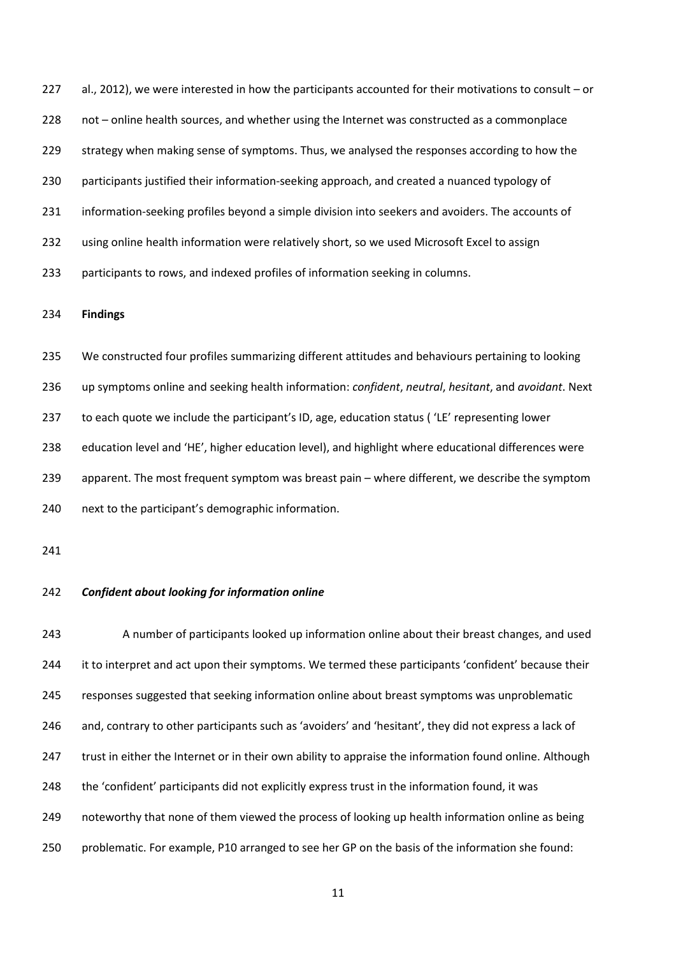al., 2012), we were interested in how the participants accounted for their motivations to consult – or not – online health sources, and whether using the Internet was constructed as a commonplace strategy when making sense of symptoms. Thus, we analysed the responses according to how the participants justified their information-seeking approach, and created a nuanced typology of information-seeking profiles beyond a simple division into seekers and avoiders. The accounts of using online health information were relatively short, so we used Microsoft Excel to assign participants to rows, and indexed profiles of information seeking in columns.

#### **Findings**

 We constructed four profiles summarizing different attitudes and behaviours pertaining to looking up symptoms online and seeking health information: *confident*, *neutral*, *hesitant*, and *avoidant*. Next 237 to each quote we include the participant's ID, age, education status ('LE' representing lower education level and 'HE', higher education level), and highlight where educational differences were apparent. The most frequent symptom was breast pain – where different, we describe the symptom next to the participant's demographic information.

#### *Confident about looking for information online*

 A number of participants looked up information online about their breast changes, and used it to interpret and act upon their symptoms. We termed these participants 'confident' because their 245 responses suggested that seeking information online about breast symptoms was unproblematic and, contrary to other participants such as 'avoiders' and 'hesitant', they did not express a lack of 247 trust in either the Internet or in their own ability to appraise the information found online. Although the 'confident' participants did not explicitly express trust in the information found, it was noteworthy that none of them viewed the process of looking up health information online as being problematic. For example, P10 arranged to see her GP on the basis of the information she found: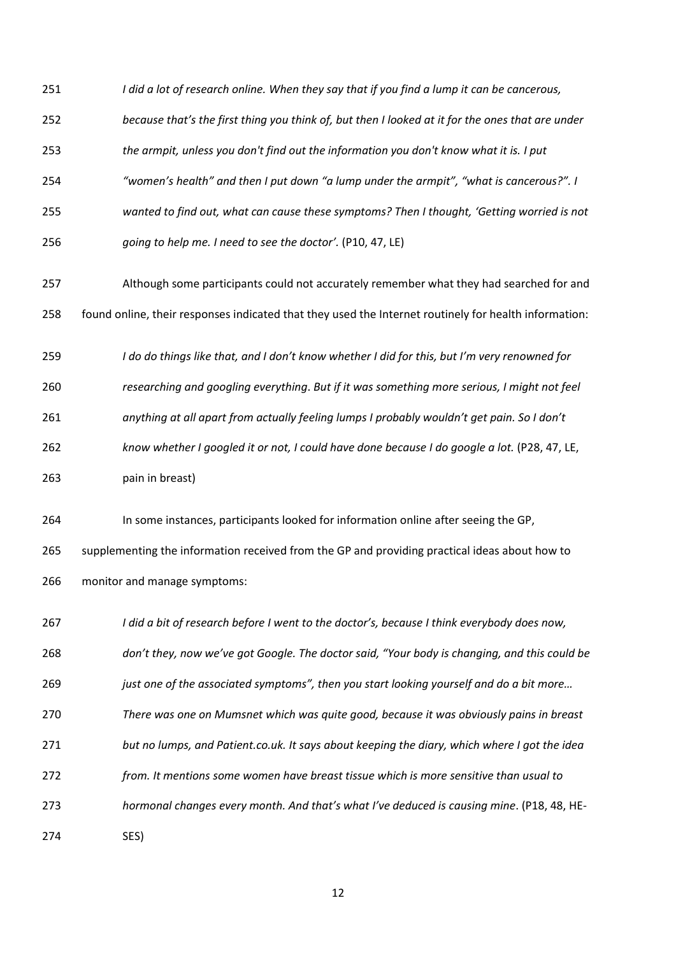*I did a lot of research online. When they say that if you find a lump it can be cancerous,* 

- *because that's the first thing you think of, but then I looked at it for the ones that are under*
- *the armpit, unless you don't find out the information you don't know what it is. I put*
- *"women's health" and then I put down "a lump under the armpit", "what is cancerous?". I*
- *wanted to find out, what can cause these symptoms? Then I thought, 'Getting worried is not*
- *going to help me. I need to see the doctor'.* (P10, 47, LE)
- Although some participants could not accurately remember what they had searched for and found online, their responses indicated that they used the Internet routinely for health information:
- *I do do things like that, and I don't know whether I did for this, but I'm very renowned for*
- *researching and googling everything*. *But if it was something more serious, I might not feel*
- *anything at all apart from actually feeling lumps I probably wouldn't get pain. So I don't*
- *know whether I googled it or not, I could have done because I do google a lot.* (P28, 47, LE,
- pain in breast)

 In some instances, participants looked for information online after seeing the GP, supplementing the information received from the GP and providing practical ideas about how to monitor and manage symptoms:

 *I did a bit of research before I went to the doctor's, because I think everybody does now, don't they, now we've got Google. The doctor said, "Your body is changing, and this could be just one of the associated symptoms", then you start looking yourself and do a bit more… There was one on Mumsnet which was quite good, because it was obviously pains in breast but no lumps, and Patient.co.uk. It says about keeping the diary, which where I got the idea from. It mentions some women have breast tissue which is more sensitive than usual to hormonal changes every month. And that's what I've deduced is causing mine*. (P18, 48, HE-SES)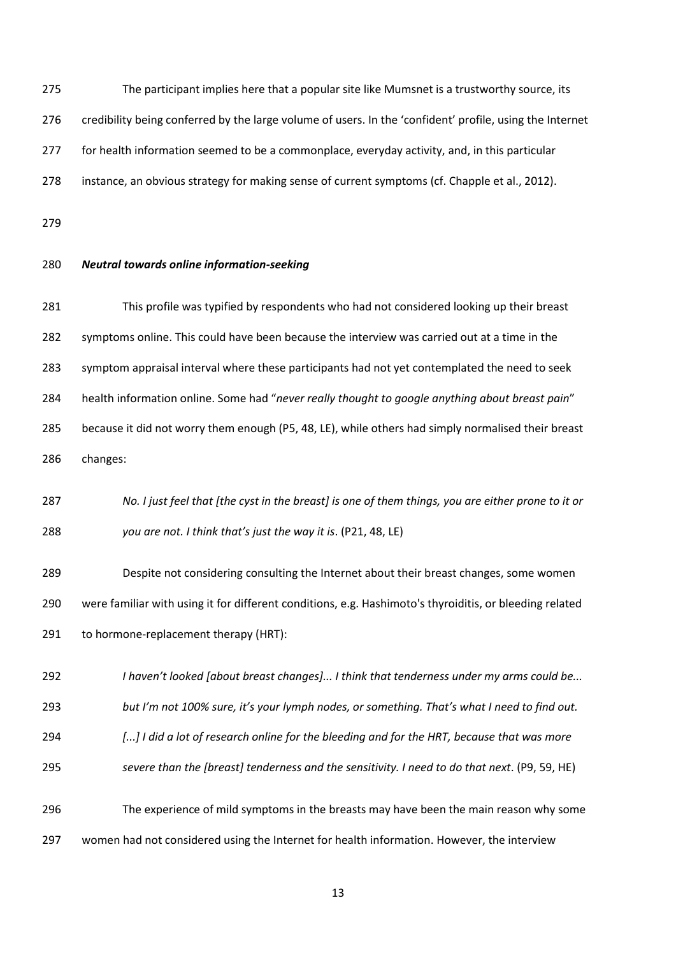The participant implies here that a popular site like Mumsnet is a trustworthy source, its credibility being conferred by the large volume of users. In the 'confident' profile, using the Internet for health information seemed to be a commonplace, everyday activity, and, in this particular instance, an obvious strategy for making sense of current symptoms (cf. Chapple et al., 2012).

#### *Neutral towards online information-seeking*

 This profile was typified by respondents who had not considered looking up their breast symptoms online. This could have been because the interview was carried out at a time in the symptom appraisal interval where these participants had not yet contemplated the need to seek health information online. Some had "*never really thought to google anything about breast pain*" because it did not worry them enough (P5, 48, LE), while others had simply normalised their breast changes:

 *No. I just feel that [the cyst in the breast] is one of them things, you are either prone to it or you are not. I think that's just the way it is*. (P21, 48, LE)

 Despite not considering consulting the Internet about their breast changes, some women were familiar with using it for different conditions, e.g. Hashimoto's thyroiditis, or bleeding related to hormone-replacement therapy (HRT):

 *I haven't looked [about breast changes]... I think that tenderness under my arms could be... but I'm not 100% sure, it's your lymph nodes, or something. That's what I need to find out.* 

*[...] I did a lot of research online for the bleeding and for the HRT, because that was more* 

*severe than the [breast] tenderness and the sensitivity. I need to do that next*. (P9, 59, HE)

 The experience of mild symptoms in the breasts may have been the main reason why some women had not considered using the Internet for health information. However, the interview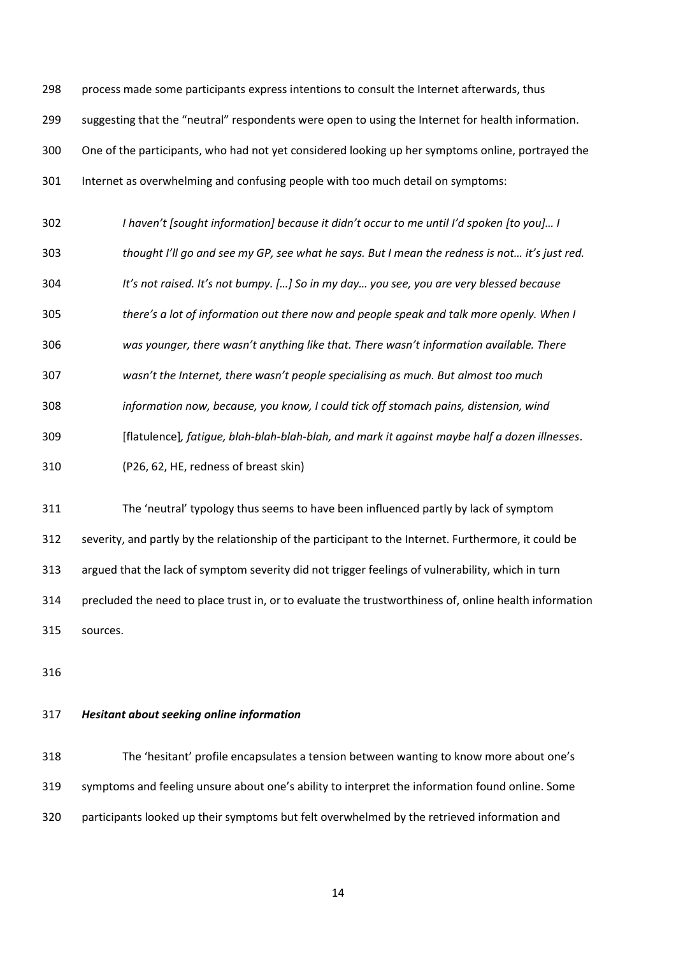process made some participants express intentions to consult the Internet afterwards, thus suggesting that the "neutral" respondents were open to using the Internet for health information. One of the participants, who had not yet considered looking up her symptoms online, portrayed the Internet as overwhelming and confusing people with too much detail on symptoms:

- *I haven't [sought information] because it didn't occur to me until I'd spoken [to you]… I*
- *thought I'll go and see my GP, see what he says. But I mean the redness is not… it's just red.*
- *It's not raised. It's not bumpy. […] So in my day… you see, you are very blessed because*
- *there's a lot of information out there now and people speak and talk more openly. When I*
- *was younger, there wasn't anything like that. There wasn't information available. There*
- *wasn't the Internet, there wasn't people specialising as much. But almost too much*
- *information now, because, you know, I could tick off stomach pains, distension, wind*
- [flatulence]*, fatigue, blah-blah-blah-blah, and mark it against maybe half a dozen illnesses*.
- (P26, 62, HE, redness of breast skin)

 The 'neutral' typology thus seems to have been influenced partly by lack of symptom severity, and partly by the relationship of the participant to the Internet. Furthermore, it could be argued that the lack of symptom severity did not trigger feelings of vulnerability, which in turn precluded the need to place trust in, or to evaluate the trustworthiness of, online health information sources.

## *Hesitant about seeking online information*

 The 'hesitant' profile encapsulates a tension between wanting to know more about one's symptoms and feeling unsure about one's ability to interpret the information found online. Some participants looked up their symptoms but felt overwhelmed by the retrieved information and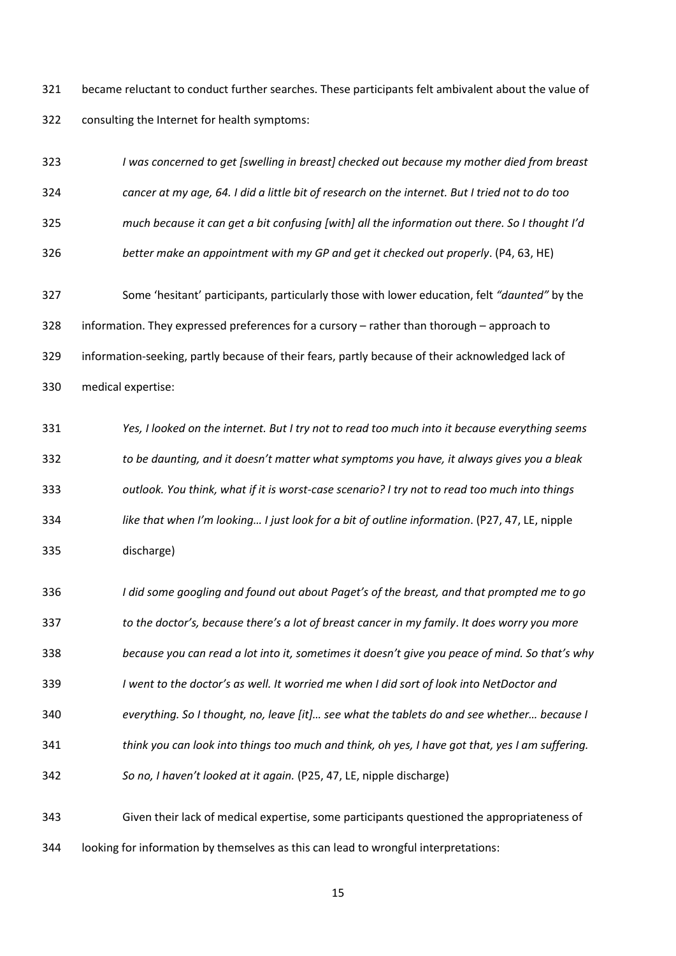became reluctant to conduct further searches. These participants felt ambivalent about the value of consulting the Internet for health symptoms:

| 323 | I was concerned to get [swelling in breast] checked out because my mother died from breast       |
|-----|--------------------------------------------------------------------------------------------------|
| 324 | cancer at my age, 64. I did a little bit of research on the internet. But I tried not to do too  |
| 325 | much because it can get a bit confusing [with] all the information out there. So I thought I'd   |
| 326 | better make an appointment with my GP and get it checked out properly. (P4, 63, HE)              |
| 327 | Some 'hesitant' participants, particularly those with lower education, felt "daunted" by the     |
| 328 | information. They expressed preferences for a cursory - rather than thorough - approach to       |
| 329 | information-seeking, partly because of their fears, partly because of their acknowledged lack of |
| 330 | medical expertise:                                                                               |
| 331 | Yes, I looked on the internet. But I try not to read too much into it because everything seems   |
| 332 | to be daunting, and it doesn't matter what symptoms you have, it always gives you a bleak        |
| 333 | outlook. You think, what if it is worst-case scenario? I try not to read too much into things    |
| 334 | like that when I'm looking I just look for a bit of outline information. (P27, 47, LE, nipple    |
| 335 | discharge)                                                                                       |
| 336 | I did some googling and found out about Paget's of the breast, and that prompted me to go        |
| 337 | to the doctor's, because there's a lot of breast cancer in my family. It does worry you more     |
| 338 | because you can read a lot into it, sometimes it doesn't give you peace of mind. So that's why   |
| 339 | I went to the doctor's as well. It worried me when I did sort of look into NetDoctor and         |
| 340 | everything. So I thought, no, leave [it] see what the tablets do and see whether because I       |
| 341 | think you can look into things too much and think, oh yes, I have got that, yes I am suffering.  |
| 342 | So no, I haven't looked at it again. (P25, 47, LE, nipple discharge)                             |
| 343 | Given their lack of medical expertise, some participants questioned the appropriateness of       |
| 344 | looking for information by themselves as this can lead to wrongful interpretations:              |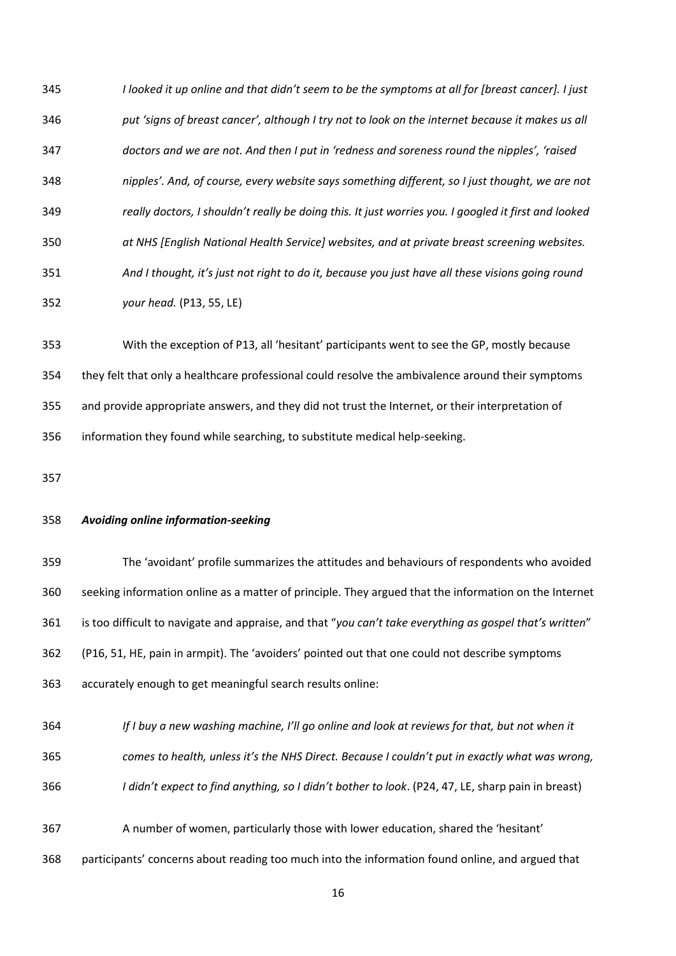*I looked it up online and that didn't seem to be the symptoms at all for [breast cancer]. I just put 'signs of breast cancer', although I try not to look on the internet because it makes us all doctors and we are not. And then I put in 'redness and soreness round the nipples', 'raised nipples'. And, of course, every website says something different, so I just thought, we are not really doctors, I shouldn't really be doing this. It just worries you. I googled it first and looked at NHS [English National Health Service] websites, and at private breast screening websites. And I thought, it's just not right to do it, because you just have all these visions going round your head.* (P13, 55, LE)

 With the exception of P13, all 'hesitant' participants went to see the GP, mostly because they felt that only a healthcare professional could resolve the ambivalence around their symptoms and provide appropriate answers, and they did not trust the Internet, or their interpretation of information they found while searching, to substitute medical help-seeking.

#### *Avoiding online information-seeking*

 The 'avoidant' profile summarizes the attitudes and behaviours of respondents who avoided seeking information online as a matter of principle. They argued that the information on the Internet is too difficult to navigate and appraise, and that "*you can't take everything as gospel that's written*" (P16, 51, HE, pain in armpit). The 'avoiders' pointed out that one could not describe symptoms accurately enough to get meaningful search results online:

 *If I buy a new washing machine, I'll go online and look at reviews for that, but not when it comes to health, unless it's the NHS Direct. Because I couldn't put in exactly what was wrong, I didn't expect to find anything, so I didn't bother to look*. (P24, 47, LE, sharp pain in breast)

 A number of women, particularly those with lower education, shared the 'hesitant' participants' concerns about reading too much into the information found online, and argued that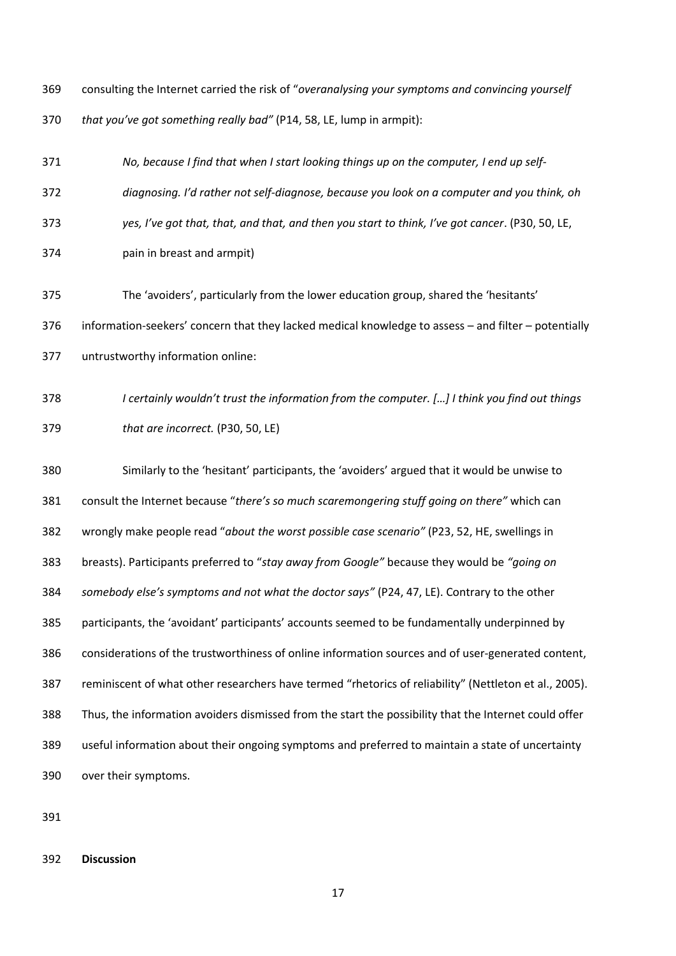| 369 | consulting the Internet carried the risk of "overanalysing your symptoms and convincing yourself       |
|-----|--------------------------------------------------------------------------------------------------------|
| 370 | that you've got something really bad" (P14, 58, LE, lump in armpit):                                   |
| 371 | No, because I find that when I start looking things up on the computer, I end up self-                 |
| 372 | diagnosing. I'd rather not self-diagnose, because you look on a computer and you think, oh             |
| 373 | yes, I've got that, that, and that, and then you start to think, I've got cancer. (P30, 50, LE,        |
| 374 | pain in breast and armpit)                                                                             |
| 375 | The 'avoiders', particularly from the lower education group, shared the 'hesitants'                    |
| 376 | information-seekers' concern that they lacked medical knowledge to assess - and filter - potentially   |
| 377 | untrustworthy information online:                                                                      |
| 378 | I certainly wouldn't trust the information from the computer. [] I think you find out things           |
| 379 | that are incorrect. (P30, 50, LE)                                                                      |
| 380 | Similarly to the 'hesitant' participants, the 'avoiders' argued that it would be unwise to             |
| 381 | consult the Internet because "there's so much scaremongering stuff going on there" which can           |
| 382 | wrongly make people read "about the worst possible case scenario" (P23, 52, HE, swellings in           |
| 383 | breasts). Participants preferred to "stay away from Google" because they would be "going on            |
| 384 | somebody else's symptoms and not what the doctor says" (P24, 47, LE). Contrary to the other            |
| 385 | participants, the 'avoidant' participants' accounts seemed to be fundamentally underpinned by          |
| 386 | considerations of the trustworthiness of online information sources and of user-generated content,     |
| 387 | reminiscent of what other researchers have termed "rhetorics of reliability" (Nettleton et al., 2005). |
| 388 | Thus, the information avoiders dismissed from the start the possibility that the Internet could offer  |
| 389 | useful information about their ongoing symptoms and preferred to maintain a state of uncertainty       |
| 390 | over their symptoms.                                                                                   |
|     |                                                                                                        |

# **Discussion**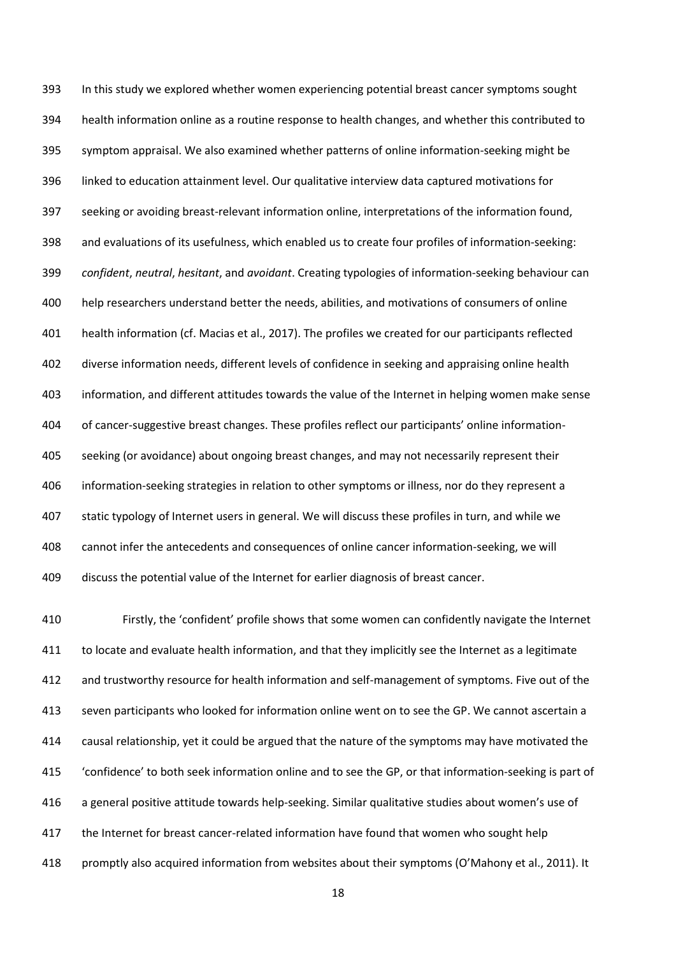In this study we explored whether women experiencing potential breast cancer symptoms sought health information online as a routine response to health changes, and whether this contributed to symptom appraisal. We also examined whether patterns of online information-seeking might be linked to education attainment level. Our qualitative interview data captured motivations for seeking or avoiding breast-relevant information online, interpretations of the information found, and evaluations of its usefulness, which enabled us to create four profiles of information-seeking: *confident*, *neutral*, *hesitant*, and *avoidant*. Creating typologies of information-seeking behaviour can help researchers understand better the needs, abilities, and motivations of consumers of online health information (cf. Macias et al., 2017). The profiles we created for our participants reflected diverse information needs, different levels of confidence in seeking and appraising online health information, and different attitudes towards the value of the Internet in helping women make sense of cancer-suggestive breast changes. These profiles reflect our participants' online information- seeking (or avoidance) about ongoing breast changes, and may not necessarily represent their information-seeking strategies in relation to other symptoms or illness, nor do they represent a static typology of Internet users in general. We will discuss these profiles in turn, and while we cannot infer the antecedents and consequences of online cancer information-seeking, we will discuss the potential value of the Internet for earlier diagnosis of breast cancer.

 Firstly, the 'confident' profile shows that some women can confidently navigate the Internet to locate and evaluate health information, and that they implicitly see the Internet as a legitimate and trustworthy resource for health information and self-management of symptoms. Five out of the seven participants who looked for information online went on to see the GP. We cannot ascertain a causal relationship, yet it could be argued that the nature of the symptoms may have motivated the 'confidence' to both seek information online and to see the GP, or that information-seeking is part of a general positive attitude towards help-seeking. Similar qualitative studies about women's use of 417 the Internet for breast cancer-related information have found that women who sought help promptly also acquired information from websites about their symptoms (O'Mahony et al., 2011). It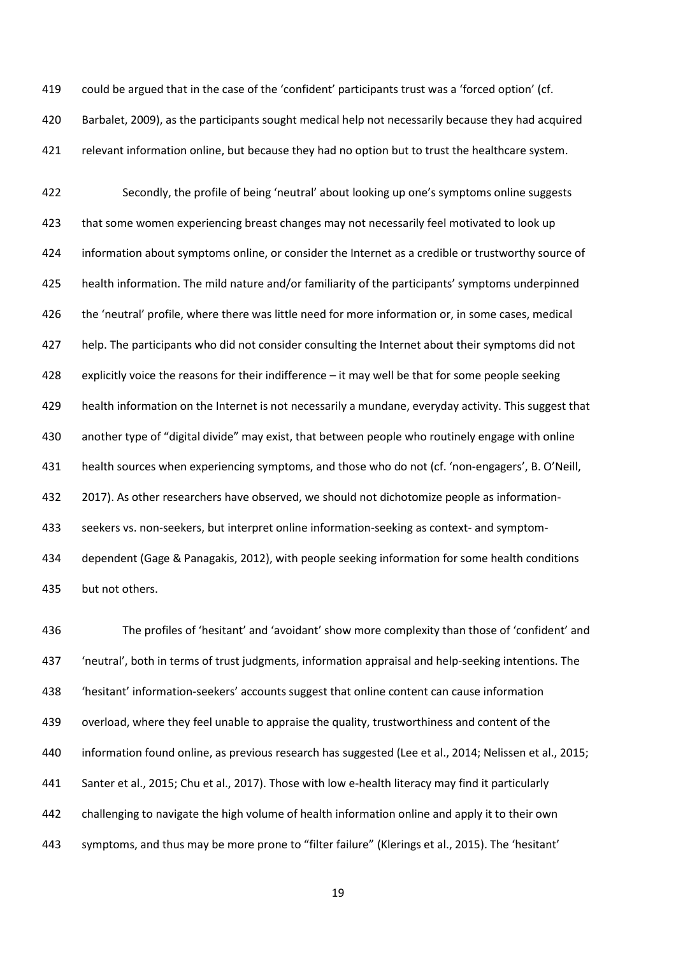could be argued that in the case of the 'confident' participants trust was a 'forced option' (cf. Barbalet, 2009), as the participants sought medical help not necessarily because they had acquired 421 relevant information online, but because they had no option but to trust the healthcare system.

 Secondly, the profile of being 'neutral' about looking up one's symptoms online suggests 423 that some women experiencing breast changes may not necessarily feel motivated to look up information about symptoms online, or consider the Internet as a credible or trustworthy source of health information. The mild nature and/or familiarity of the participants' symptoms underpinned the 'neutral' profile, where there was little need for more information or, in some cases, medical help. The participants who did not consider consulting the Internet about their symptoms did not explicitly voice the reasons for their indifference – it may well be that for some people seeking health information on the Internet is not necessarily a mundane, everyday activity. This suggest that another type of "digital divide" may exist, that between people who routinely engage with online health sources when experiencing symptoms, and those who do not (cf. 'non-engagers', B. O'Neill, 2017). As other researchers have observed, we should not dichotomize people as information- seekers vs. non-seekers, but interpret online information-seeking as context- and symptom- dependent (Gage & Panagakis, 2012), with people seeking information for some health conditions but not others.

 The profiles of 'hesitant' and 'avoidant' show more complexity than those of 'confident' and 'neutral', both in terms of trust judgments, information appraisal and help-seeking intentions. The 'hesitant' information-seekers' accounts suggest that online content can cause information overload, where they feel unable to appraise the quality, trustworthiness and content of the information found online, as previous research has suggested (Lee et al., 2014; Nelissen et al., 2015; Santer et al., 2015; Chu et al., 2017). Those with low e-health literacy may find it particularly challenging to navigate the high volume of health information online and apply it to their own symptoms, and thus may be more prone to "filter failure" (Klerings et al., 2015). The 'hesitant'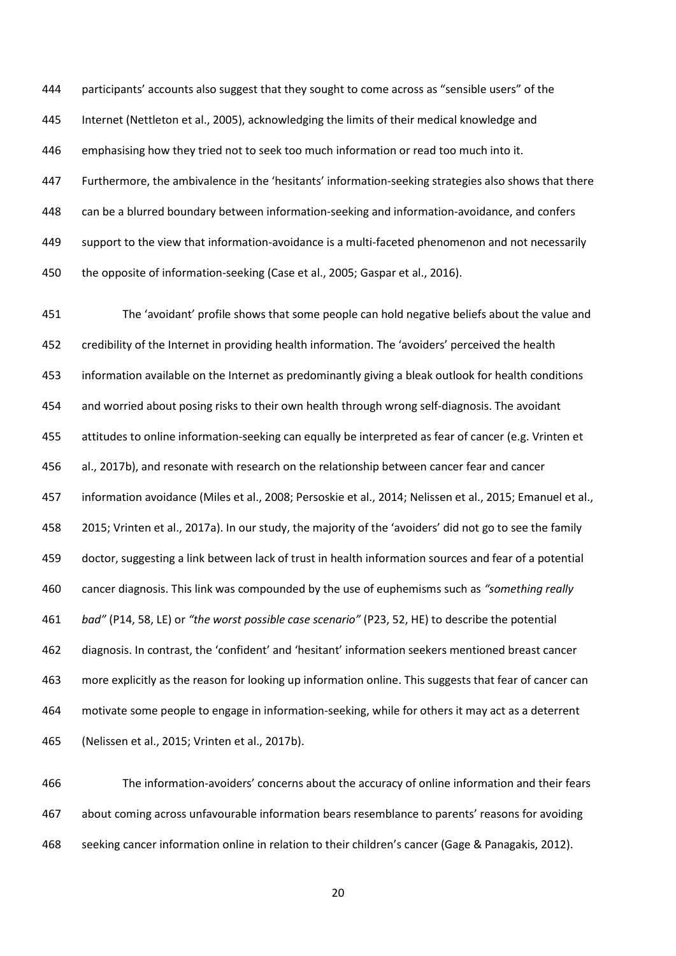participants' accounts also suggest that they sought to come across as "sensible users" of the Internet (Nettleton et al., 2005), acknowledging the limits of their medical knowledge and emphasising how they tried not to seek too much information or read too much into it. Furthermore, the ambivalence in the 'hesitants' information-seeking strategies also shows that there can be a blurred boundary between information-seeking and information-avoidance, and confers support to the view that information-avoidance is a multi-faceted phenomenon and not necessarily the opposite of information-seeking (Case et al., 2005; Gaspar et al., 2016).

 The 'avoidant' profile shows that some people can hold negative beliefs about the value and credibility of the Internet in providing health information. The 'avoiders' perceived the health information available on the Internet as predominantly giving a bleak outlook for health conditions and worried about posing risks to their own health through wrong self-diagnosis. The avoidant attitudes to online information-seeking can equally be interpreted as fear of cancer (e.g. Vrinten et al., 2017b), and resonate with research on the relationship between cancer fear and cancer information avoidance (Miles et al., 2008; Persoskie et al., 2014; Nelissen et al., 2015; Emanuel et al., 2015; Vrinten et al., 2017a). In our study, the majority of the 'avoiders' did not go to see the family doctor, suggesting a link between lack of trust in health information sources and fear of a potential cancer diagnosis. This link was compounded by the use of euphemisms such as *"something really bad"* (P14, 58, LE) or *"the worst possible case scenario"* (P23, 52, HE) to describe the potential diagnosis. In contrast, the 'confident' and 'hesitant' information seekers mentioned breast cancer more explicitly as the reason for looking up information online. This suggests that fear of cancer can motivate some people to engage in information-seeking, while for others it may act as a deterrent (Nelissen et al., 2015; Vrinten et al., 2017b).

 The information-avoiders' concerns about the accuracy of online information and their fears about coming across unfavourable information bears resemblance to parents' reasons for avoiding seeking cancer information online in relation to their children's cancer (Gage & Panagakis, 2012).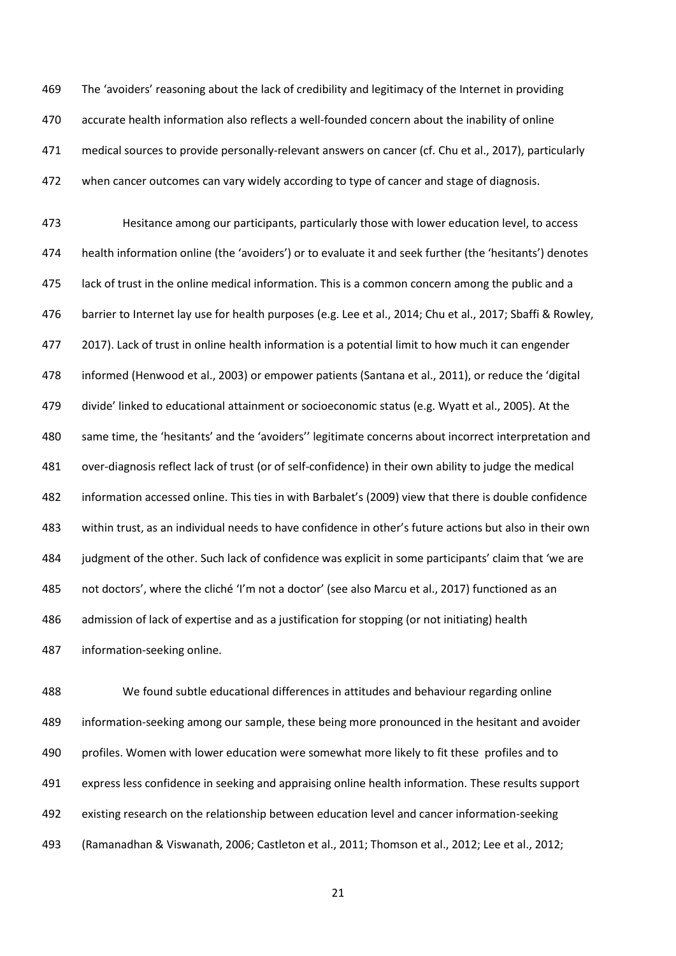The 'avoiders' reasoning about the lack of credibility and legitimacy of the Internet in providing accurate health information also reflects a well-founded concern about the inability of online medical sources to provide personally-relevant answers on cancer (cf. Chu et al., 2017), particularly when cancer outcomes can vary widely according to type of cancer and stage of diagnosis.

 Hesitance among our participants, particularly those with lower education level, to access health information online (the 'avoiders') or to evaluate it and seek further (the 'hesitants') denotes lack of trust in the online medical information. This is a common concern among the public and a barrier to Internet lay use for health purposes (e.g. Lee et al., 2014; Chu et al., 2017; Sbaffi & Rowley, 2017). Lack of trust in online health information is a potential limit to how much it can engender informed (Henwood et al., 2003) or empower patients (Santana et al., 2011), or reduce the 'digital divide' linked to educational attainment or socioeconomic status (e.g. Wyatt et al., 2005). At the same time, the 'hesitants' and the 'avoiders'' legitimate concerns about incorrect interpretation and over-diagnosis reflect lack of trust (or of self-confidence) in their own ability to judge the medical information accessed online. This ties in with Barbalet's (2009) view that there is double confidence within trust, as an individual needs to have confidence in other's future actions but also in their own judgment of the other. Such lack of confidence was explicit in some participants' claim that 'we are not doctors', where the cliché 'I'm not a doctor' (see also Marcu et al., 2017) functioned as an admission of lack of expertise and as a justification for stopping (or not initiating) health information-seeking online.

 We found subtle educational differences in attitudes and behaviour regarding online information-seeking among our sample, these being more pronounced in the hesitant and avoider profiles. Women with lower education were somewhat more likely to fit these profiles and to express less confidence in seeking and appraising online health information. These results support existing research on the relationship between education level and cancer information-seeking (Ramanadhan & Viswanath, 2006; Castleton et al., 2011; Thomson et al., 2012; Lee et al., 2012;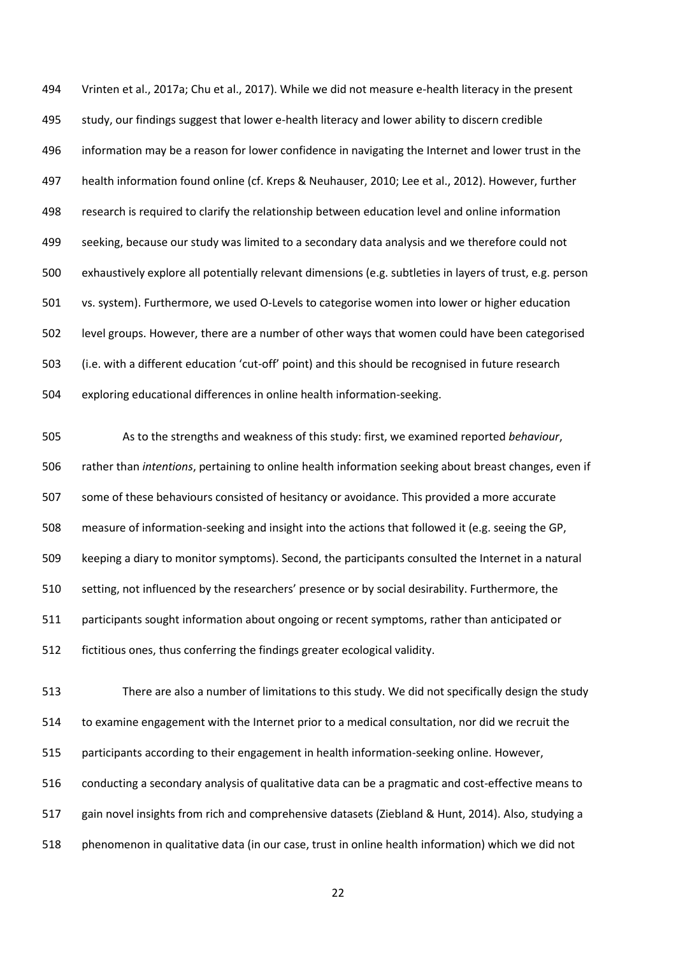Vrinten et al., 2017a; Chu et al., 2017). While we did not measure e-health literacy in the present study, our findings suggest that lower e-health literacy and lower ability to discern credible information may be a reason for lower confidence in navigating the Internet and lower trust in the health information found online (cf. Kreps & Neuhauser, 2010; Lee et al., 2012). However, further research is required to clarify the relationship between education level and online information seeking, because our study was limited to a secondary data analysis and we therefore could not exhaustively explore all potentially relevant dimensions (e.g. subtleties in layers of trust, e.g. person vs. system). Furthermore, we used O-Levels to categorise women into lower or higher education level groups. However, there are a number of other ways that women could have been categorised (i.e. with a different education 'cut-off' point) and this should be recognised in future research exploring educational differences in online health information-seeking.

 As to the strengths and weakness of this study: first, we examined reported *behaviour*, rather than *intentions*, pertaining to online health information seeking about breast changes, even if some of these behaviours consisted of hesitancy or avoidance. This provided a more accurate measure of information-seeking and insight into the actions that followed it (e.g. seeing the GP, keeping a diary to monitor symptoms). Second, the participants consulted the Internet in a natural setting, not influenced by the researchers' presence or by social desirability. Furthermore, the participants sought information about ongoing or recent symptoms, rather than anticipated or fictitious ones, thus conferring the findings greater ecological validity.

 There are also a number of limitations to this study. We did not specifically design the study to examine engagement with the Internet prior to a medical consultation, nor did we recruit the participants according to their engagement in health information-seeking online. However, conducting a secondary analysis of qualitative data can be a pragmatic and cost-effective means to gain novel insights from rich and comprehensive datasets (Ziebland & Hunt, 2014). Also, studying a phenomenon in qualitative data (in our case, trust in online health information) which we did not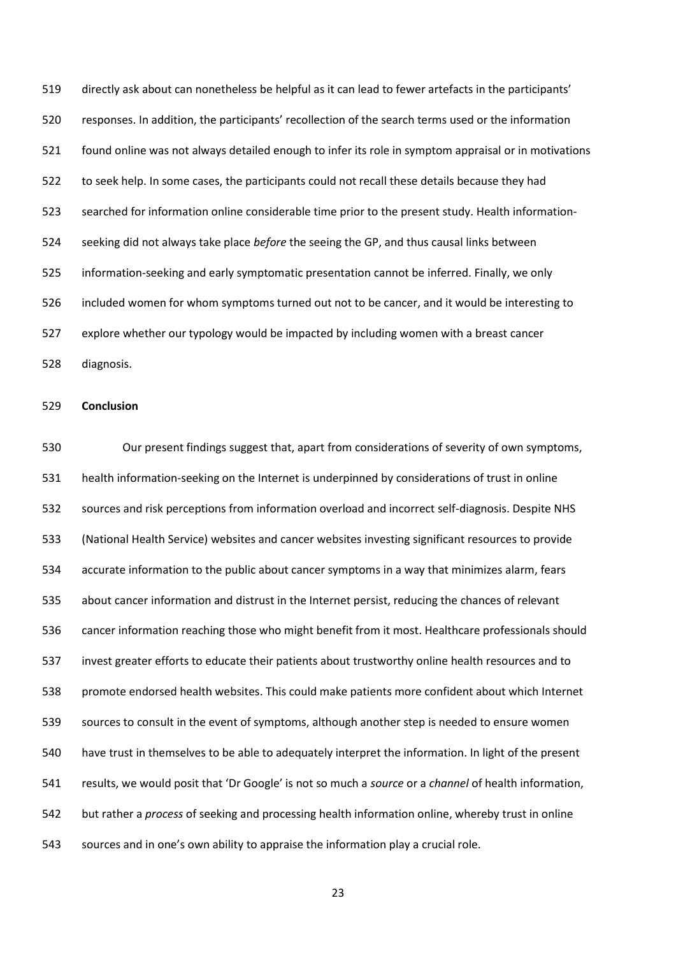directly ask about can nonetheless be helpful as it can lead to fewer artefacts in the participants' responses. In addition, the participants' recollection of the search terms used or the information found online was not always detailed enough to infer its role in symptom appraisal or in motivations to seek help. In some cases, the participants could not recall these details because they had searched for information online considerable time prior to the present study. Health information- seeking did not always take place *before* the seeing the GP, and thus causal links between information-seeking and early symptomatic presentation cannot be inferred. Finally, we only included women for whom symptoms turned out not to be cancer, and it would be interesting to explore whether our typology would be impacted by including women with a breast cancer diagnosis.

#### **Conclusion**

 Our present findings suggest that, apart from considerations of severity of own symptoms, health information-seeking on the Internet is underpinned by considerations of trust in online sources and risk perceptions from information overload and incorrect self-diagnosis. Despite NHS (National Health Service) websites and cancer websites investing significant resources to provide accurate information to the public about cancer symptoms in a way that minimizes alarm, fears about cancer information and distrust in the Internet persist, reducing the chances of relevant cancer information reaching those who might benefit from it most. Healthcare professionals should invest greater efforts to educate their patients about trustworthy online health resources and to promote endorsed health websites. This could make patients more confident about which Internet sources to consult in the event of symptoms, although another step is needed to ensure women have trust in themselves to be able to adequately interpret the information. In light of the present results, we would posit that 'Dr Google' is not so much a *source* or a *channel* of health information, but rather a *process* of seeking and processing health information online, whereby trust in online sources and in one's own ability to appraise the information play a crucial role.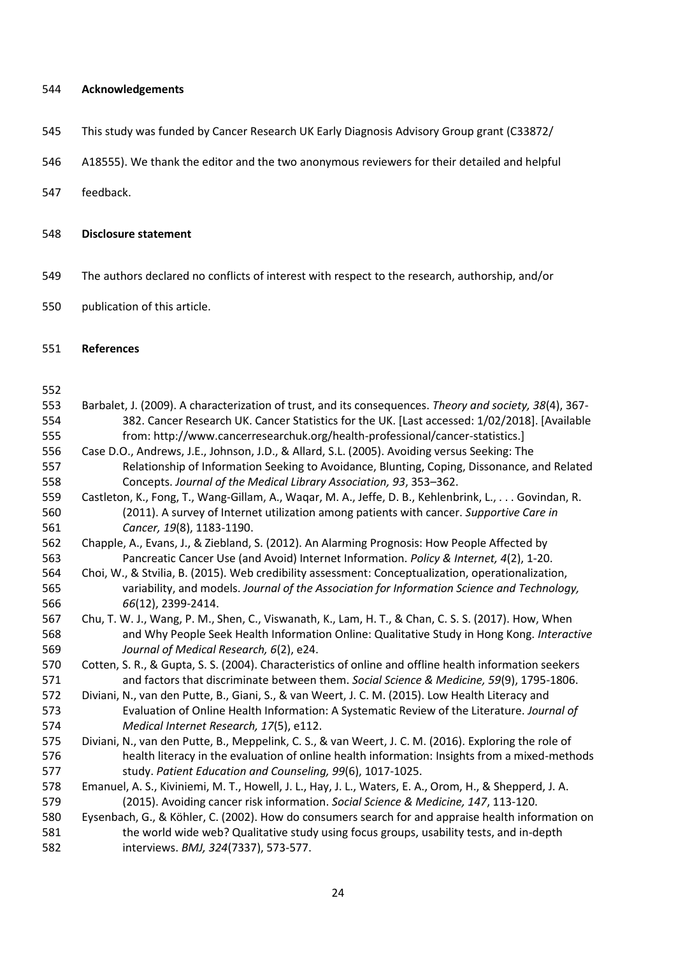## **Acknowledgements**

- This study was funded by Cancer Research UK Early Diagnosis Advisory Group grant (C33872/
- A18555). We thank the editor and the two anonymous reviewers for their detailed and helpful
- feedback.

# **Disclosure statement**

- The authors declared no conflicts of interest with respect to the research, authorship, and/or
- publication of this article.
- **References**

| 553 | Barbalet, J. (2009). A characterization of trust, and its consequences. Theory and society, 38(4), 367- |
|-----|---------------------------------------------------------------------------------------------------------|
| 554 | 382. Cancer Research UK. Cancer Statistics for the UK. [Last accessed: 1/02/2018]. [Available           |
| 555 | from: http://www.cancerresearchuk.org/health-professional/cancer-statistics.]                           |
| 556 | Case D.O., Andrews, J.E., Johnson, J.D., & Allard, S.L. (2005). Avoiding versus Seeking: The            |
| 557 | Relationship of Information Seeking to Avoidance, Blunting, Coping, Dissonance, and Related             |
| 558 | Concepts. Journal of the Medical Library Association, 93, 353-362.                                      |
| 559 | Castleton, K., Fong, T., Wang-Gillam, A., Waqar, M. A., Jeffe, D. B., Kehlenbrink, L., Govindan, R.     |
| 560 | (2011). A survey of Internet utilization among patients with cancer. Supportive Care in                 |
| 561 | Cancer, 19(8), 1183-1190.                                                                               |
| 562 | Chapple, A., Evans, J., & Ziebland, S. (2012). An Alarming Prognosis: How People Affected by            |
| 563 | Pancreatic Cancer Use (and Avoid) Internet Information. Policy & Internet, 4(2), 1-20.                  |
| 564 | Choi, W., & Stvilia, B. (2015). Web credibility assessment: Conceptualization, operationalization,      |
| 565 | variability, and models. Journal of the Association for Information Science and Technology,             |
| 566 | 66(12), 2399-2414.                                                                                      |
| 567 | Chu, T. W. J., Wang, P. M., Shen, C., Viswanath, K., Lam, H. T., & Chan, C. S. S. (2017). How, When     |
| 568 | and Why People Seek Health Information Online: Qualitative Study in Hong Kong. Interactive              |
| 569 | Journal of Medical Research, 6(2), e24.                                                                 |
| 570 | Cotten, S. R., & Gupta, S. S. (2004). Characteristics of online and offline health information seekers  |
| 571 | and factors that discriminate between them. Social Science & Medicine, 59(9), 1795-1806.                |
| 572 | Diviani, N., van den Putte, B., Giani, S., & van Weert, J. C. M. (2015). Low Health Literacy and        |
| 573 | Evaluation of Online Health Information: A Systematic Review of the Literature. Journal of              |
| 574 | Medical Internet Research, 17(5), e112.                                                                 |
| 575 | Diviani, N., van den Putte, B., Meppelink, C. S., & van Weert, J. C. M. (2016). Exploring the role of   |
| 576 | health literacy in the evaluation of online health information: Insights from a mixed-methods           |
| 577 | study. Patient Education and Counseling, 99(6), 1017-1025.                                              |
| 578 | Emanuel, A. S., Kiviniemi, M. T., Howell, J. L., Hay, J. L., Waters, E. A., Orom, H., & Shepperd, J. A. |
| 579 | (2015). Avoiding cancer risk information. Social Science & Medicine, 147, 113-120.                      |
| 580 | Eysenbach, G., & Köhler, C. (2002). How do consumers search for and appraise health information on      |
| 581 | the world wide web? Qualitative study using focus groups, usability tests, and in-depth                 |
| 582 | interviews. BMJ, 324(7337), 573-577.                                                                    |
|     |                                                                                                         |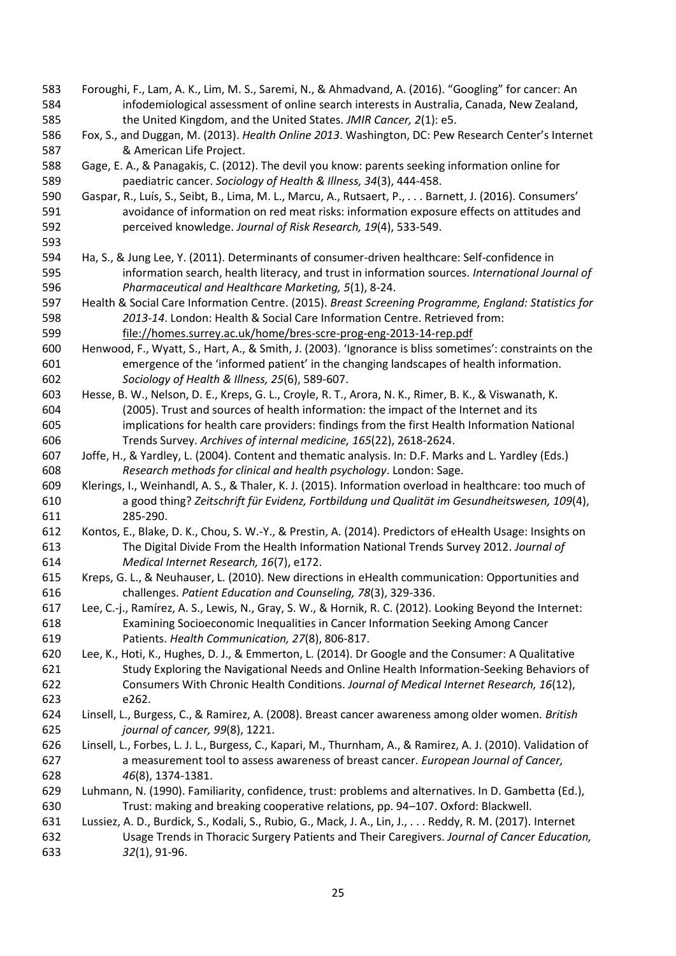Foroughi, F., Lam, A. K., Lim, M. S., Saremi, N., & Ahmadvand, A. (2016). "Googling" for cancer: An infodemiological assessment of online search interests in Australia, Canada, New Zealand, the United Kingdom, and the United States. *JMIR Cancer, 2*(1): e5. Fox, S., and Duggan, M. (2013). *Health Online 2013*. Washington, DC: Pew Research Center's Internet & American Life Project. Gage, E. A., & Panagakis, C. (2012). The devil you know: parents seeking information online for paediatric cancer. *Sociology of Health & Illness, 34*(3), 444-458. Gaspar, R., Luís, S., Seibt, B., Lima, M. L., Marcu, A., Rutsaert, P., . . . Barnett, J. (2016). Consumers' avoidance of information on red meat risks: information exposure effects on attitudes and perceived knowledge. *Journal of Risk Research, 19*(4), 533-549. Ha, S., & Jung Lee, Y. (2011). Determinants of consumer-driven healthcare: Self-confidence in information search, health literacy, and trust in information sources. *International Journal of Pharmaceutical and Healthcare Marketing, 5*(1), 8-24. Health & Social Care Information Centre. (2015). *Breast Screening Programme, England: Statistics for 2013-14*. London: Health & Social Care Information Centre. Retrieved from: file://homes.surrey.ac.uk/home/bres-scre-prog-eng-2013-14-rep.pdf Henwood, F., Wyatt, S., Hart, A., & Smith, J. (2003). 'Ignorance is bliss sometimes': constraints on the emergence of the 'informed patient' in the changing landscapes of health information. *Sociology of Health & Illness, 25*(6), 589-607. Hesse, B. W., Nelson, D. E., Kreps, G. L., Croyle, R. T., Arora, N. K., Rimer, B. K., & Viswanath, K. (2005). Trust and sources of health information: the impact of the Internet and its implications for health care providers: findings from the first Health Information National Trends Survey. *Archives of internal medicine, 165*(22), 2618-2624. Joffe, H., & Yardley, L. (2004). Content and thematic analysis. In: D.F. Marks and L. Yardley (Eds.) *Research methods for clinical and health psychology*. London: Sage. Klerings, I., Weinhandl, A. S., & Thaler, K. J. (2015). Information overload in healthcare: too much of a good thing? *Zeitschrift für Evidenz, Fortbildung und Qualität im Gesundheitswesen, 109*(4), 285-290. Kontos, E., Blake, D. K., Chou, S. W.-Y., & Prestin, A. (2014). Predictors of eHealth Usage: Insights on The Digital Divide From the Health Information National Trends Survey 2012. *Journal of Medical Internet Research, 16*(7), e172. Kreps, G. L., & Neuhauser, L. (2010). New directions in eHealth communication: Opportunities and challenges. *Patient Education and Counseling, 78*(3), 329-336. Lee, C.-j., Ramírez, A. S., Lewis, N., Gray, S. W., & Hornik, R. C. (2012). Looking Beyond the Internet: Examining Socioeconomic Inequalities in Cancer Information Seeking Among Cancer Patients. *Health Communication, 27*(8), 806-817. Lee, K., Hoti, K., Hughes, D. J., & Emmerton, L. (2014). Dr Google and the Consumer: A Qualitative Study Exploring the Navigational Needs and Online Health Information-Seeking Behaviors of Consumers With Chronic Health Conditions. *Journal of Medical Internet Research, 16*(12), e262. Linsell, L., Burgess, C., & Ramirez, A. (2008). Breast cancer awareness among older women. *British journal of cancer, 99*(8), 1221. Linsell, L., Forbes, L. J. L., Burgess, C., Kapari, M., Thurnham, A., & Ramirez, A. J. (2010). Validation of a measurement tool to assess awareness of breast cancer. *European Journal of Cancer, 46*(8), 1374-1381. Luhmann, N. (1990). Familiarity, confidence, trust: problems and alternatives. In D. Gambetta (Ed.), Trust: making and breaking cooperative relations, pp. 94–107. Oxford: Blackwell. Lussiez, A. D., Burdick, S., Kodali, S., Rubio, G., Mack, J. A., Lin, J., . . . Reddy, R. M. (2017). Internet Usage Trends in Thoracic Surgery Patients and Their Caregivers. *Journal of Cancer Education, 32*(1), 91-96.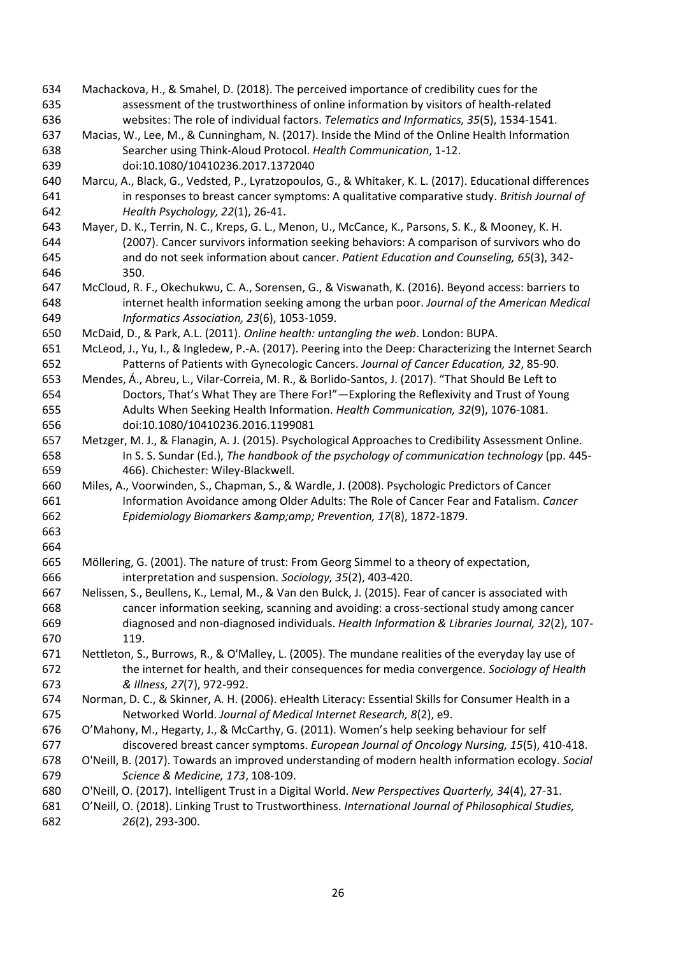Machackova, H., & Smahel, D. (2018). The perceived importance of credibility cues for the assessment of the trustworthiness of online information by visitors of health-related websites: The role of individual factors. *Telematics and Informatics, 35*(5), 1534-1541. Macias, W., Lee, M., & Cunningham, N. (2017). Inside the Mind of the Online Health Information Searcher using Think-Aloud Protocol. *Health Communication*, 1-12. doi:10.1080/10410236.2017.1372040 Marcu, A., Black, G., Vedsted, P., Lyratzopoulos, G., & Whitaker, K. L. (2017). Educational differences in responses to breast cancer symptoms: A qualitative comparative study. *British Journal of Health Psychology, 22*(1), 26-41. Mayer, D. K., Terrin, N. C., Kreps, G. L., Menon, U., McCance, K., Parsons, S. K., & Mooney, K. H. (2007). Cancer survivors information seeking behaviors: A comparison of survivors who do and do not seek information about cancer. *Patient Education and Counseling, 65*(3), 342- 350. McCloud, R. F., Okechukwu, C. A., Sorensen, G., & Viswanath, K. (2016). Beyond access: barriers to internet health information seeking among the urban poor. *Journal of the American Medical Informatics Association, 23*(6), 1053-1059. McDaid, D., & Park, A.L. (2011). *Online health: untangling the web*. London: BUPA. McLeod, J., Yu, I., & Ingledew, P.-A. (2017). Peering into the Deep: Characterizing the Internet Search Patterns of Patients with Gynecologic Cancers. *Journal of Cancer Education, 32*, 85-90. Mendes, Á., Abreu, L., Vilar-Correia, M. R., & Borlido-Santos, J. (2017). "That Should Be Left to Doctors, That's What They are There For!"—Exploring the Reflexivity and Trust of Young Adults When Seeking Health Information. *Health Communication, 32*(9), 1076-1081. doi:10.1080/10410236.2016.1199081 Metzger, M. J., & Flanagin, A. J. (2015). Psychological Approaches to Credibility Assessment Online. In S. S. Sundar (Ed.), *The handbook of the psychology of communication technology* (pp. 445- 466). Chichester: Wiley-Blackwell. Miles, A., Voorwinden, S., Chapman, S., & Wardle, J. (2008). Psychologic Predictors of Cancer Information Avoidance among Older Adults: The Role of Cancer Fear and Fatalism. *Cancer Epidemiology Biomarkers & Prevention, 17*(8), 1872-1879. Möllering, G. (2001). The nature of trust: From Georg Simmel to a theory of expectation, interpretation and suspension. *Sociology, 35*(2), 403-420. Nelissen, S., Beullens, K., Lemal, M., & Van den Bulck, J. (2015). Fear of cancer is associated with cancer information seeking, scanning and avoiding: a cross-sectional study among cancer diagnosed and non-diagnosed individuals. *Health Information & Libraries Journal, 32*(2), 107- 119. Nettleton, S., Burrows, R., & O'Malley, L. (2005). The mundane realities of the everyday lay use of the internet for health, and their consequences for media convergence. *Sociology of Health & Illness, 27*(7), 972-992. Norman, D. C., & Skinner, A. H. (2006). eHealth Literacy: Essential Skills for Consumer Health in a Networked World. *Journal of Medical Internet Research, 8*(2), e9. O'Mahony, M., Hegarty, J., & McCarthy, G. (2011). Women's help seeking behaviour for self discovered breast cancer symptoms. *European Journal of Oncology Nursing, 15*(5), 410-418. O'Neill, B. (2017). Towards an improved understanding of modern health information ecology. *Social Science & Medicine, 173*, 108-109. O'Neill, O. (2017). Intelligent Trust in a Digital World. *New Perspectives Quarterly, 34*(4), 27-31. O'Neill, O. (2018). Linking Trust to Trustworthiness. *International Journal of Philosophical Studies, 26*(2), 293-300.